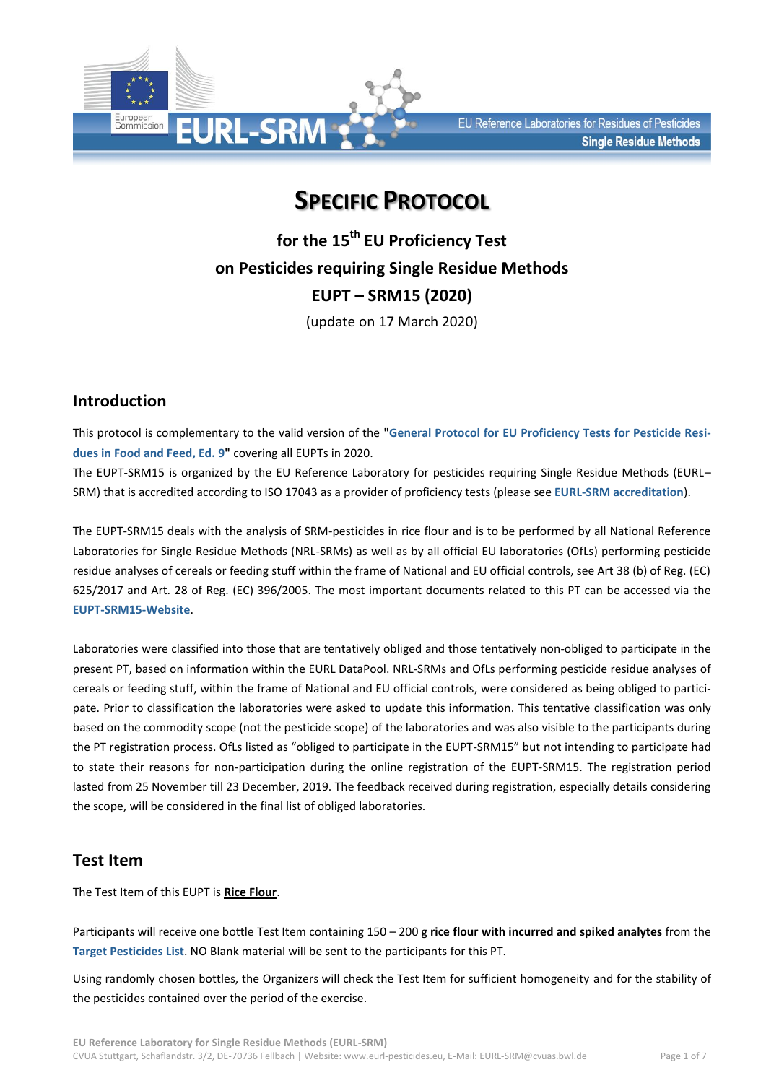

# **SPECIFIC PROTOCOL**

**for the 15th EU Proficiency Test on Pesticides requiring Single Residue Methods EUPT – SRM15 (2020)** (update on 17 March 2020)

## **Introduction**

This protocol is complementary to the valid version of the **["General Protocol for EU Proficiency Tests for Pesticide Resi](http://www.eurl-pesticides.eu/library/docs/allcrl/EUPT-General_Protocol_V9_2020.pdf)[dues in Food and Feed, Ed. 9"](http://www.eurl-pesticides.eu/library/docs/allcrl/EUPT-General_Protocol_V9_2020.pdf)** covering all EUPTs in 2020.

The EUPT-SRM15 is organized by the EU Reference Laboratory for pesticides requiring Single Residue Methods (EURL– SRM) that is accredited according to ISO 17043 as a provider of proficiency tests (please see **[EURL-SRM accreditation](http://www.eurl-pesticides.eu/docs/public/tmplt_article.asp?CntID=944&LabID=200&Lang=EN)**).

The EUPT-SRM15 deals with the analysis of SRM-pesticides in rice flour and is to be performed by all National Reference Laboratories for Single Residue Methods (NRL-SRMs) as well as by all official EU laboratories (OfLs) performing pesticide residue analyses of cereals or feeding stuff within the frame of National and EU official controls, see Art 38 (b) of Reg. (EC) 625/2017 and Art. 28 of Reg. (EC) 396/2005. The most important documents related to this PT can be accessed via the **[EUPT-SRM15-Website](http://www.eurl-pesticides.eu/docs/public/tmplt_article.asp?LabID=200&CntID=1138&Theme_ID=1&Pdf=False&Lang=EN)**.

Laboratories were classified into those that are tentatively obliged and those tentatively non-obliged to participate in the present PT, based on information within the EURL DataPool. NRL-SRMs and OfLs performing pesticide residue analyses of cereals or feeding stuff, within the frame of National and EU official controls, were considered as being obliged to participate. Prior to classification the laboratories were asked to update this information. This tentative classification was only based on the commodity scope (not the pesticide scope) of the laboratories and was also visible to the participants during the PT registration process. OfLs listed as "obliged to participate in the EUPT-SRM15" but not intending to participate had to state their reasons for non-participation during the online registration of the EUPT-SRM15. The registration period lasted from 25 November till 23 December, 2019. The feedback received during registration, especially details considering the scope, will be considered in the final list of obliged laboratories.

### **Test Item**

The Test Item of this EUPT is **Rice Flour**.

Participants will receive one bottle Test Item containing 150 – 200 g **rice flour with incurred and spiked analytes** from the **[Target Pesticides](http://www.eurl-pesticides.eu/library/docs/srm/EUPT-SRM15_TargetPesticideList.pdf) List**. NO Blank material will be sent to the participants for this PT.

Using randomly chosen bottles, the Organizers will check the Test Item for sufficient homogeneity and for the stability of the pesticides contained over the period of the exercise.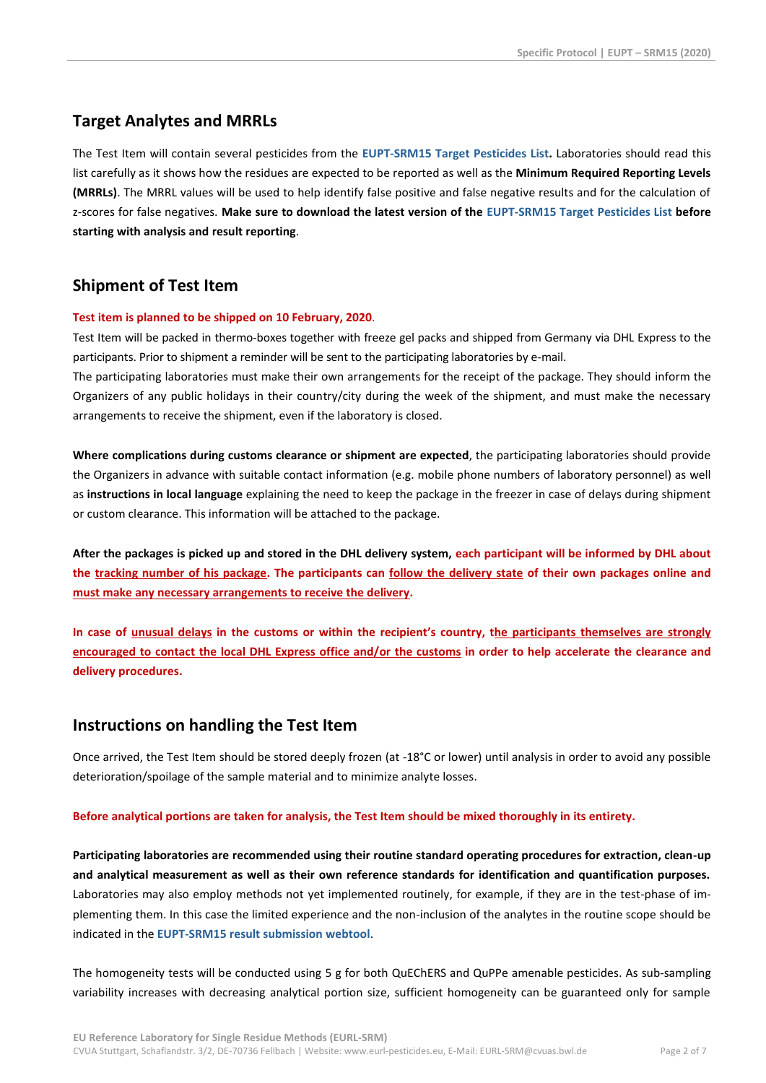### **Target Analytes and MRRLs**

The Test Item will contain several pesticides from the **EUPT-SRM15 [Target Pesticides](http://www.eurl-pesticides.eu/library/docs/srm/EUPT-SRM15_TargetPesticideList.pdf) List.** Laboratories should read this list carefully as it shows how the residues are expected to be reported as well as the **Minimum Required Reporting Levels (MRRLs)**. The MRRL values will be used to help identify false positive and false negative results and for the calculation of z-scores for false negatives. **Make sure to download the latest version of the EUPT-SRM15 [Target Pesticides List](http://www.eurl-pesticides.eu/library/docs/srm/EUPT-SRM15_TargetPesticideList.pdf) before starting with analysis and result reporting**.

## **Shipment of Test Item**

#### **Test item is planned to be shipped on 10 February, 2020**.

Test Item will be packed in thermo-boxes together with freeze gel packs and shipped from Germany via DHL Express to the participants. Prior to shipment a reminder will be sent to the participating laboratories by e-mail.

The participating laboratories must make their own arrangements for the receipt of the package. They should inform the Organizers of any public holidays in their country/city during the week of the shipment, and must make the necessary arrangements to receive the shipment, even if the laboratory is closed.

**Where complications during customs clearance or shipment are expected**, the participating laboratories should provide the Organizers in advance with suitable contact information (e.g. mobile phone numbers of laboratory personnel) as well as **instructions in local language** explaining the need to keep the package in the freezer in case of delays during shipment or custom clearance. This information will be attached to the package.

**After the packages is picked up and stored in the DHL delivery system, each participant will be informed by DHL about the tracking number of his package. The participants can follow the delivery state of their own packages online and must make any necessary arrangements to receive the delivery.**

**In case of unusual delays in the customs or within the recipient's country, the participants themselves are strongly encouraged to contact the local DHL Express office and/or the customs in order to help accelerate the clearance and delivery procedures.**

### **Instructions on handling the Test Item**

Once arrived, the Test Item should be stored deeply frozen (at -18°C or lower) until analysis in order to avoid any possible deterioration/spoilage of the sample material and to minimize analyte losses.

#### **Before analytical portions are taken for analysis, the Test Item should be mixed thoroughly in its entirety.**

**Participating laboratories are recommended using their routine standard operating procedures for extraction, clean-up and analytical measurement as well as their own reference standards for identification and quantification purposes.** Laboratories may also employ methods not yet implemented routinely, for example, if they are in the test-phase of implementing them. In this case the limited experience and the non-inclusion of the analytes in the routine scope should be indicated in the **EUPT-SRM15 [result submission webtool](http://www.eurl.dtu.dk/)**.

The homogeneity tests will be conducted using 5 g for both QuEChERS and QuPPe amenable pesticides. As sub-sampling variability increases with decreasing analytical portion size, sufficient homogeneity can be guaranteed only for sample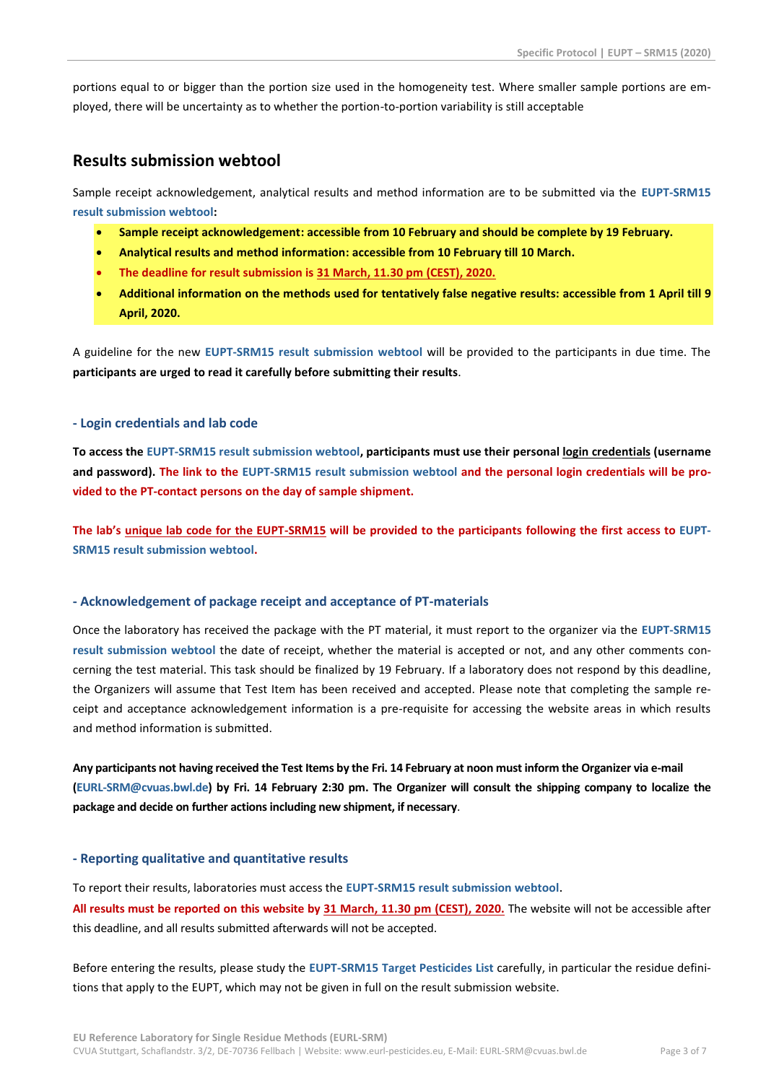portions equal to or bigger than the portion size used in the homogeneity test. Where smaller sample portions are employed, there will be uncertainty as to whether the portion-to-portion variability is still acceptable

### **Results submission webtool**

Sample receipt acknowledgement, analytical results and method information are to be submitted via the **[EUPT-SRM15](http://www.eurl.dtu.dk/) [result submission webtool:](http://www.eurl.dtu.dk/)**

- **Sample receipt acknowledgement: accessible from 10 February and should be complete by 19 February.**
- **Analytical results and method information: accessible from 10 February till 10 March.**
- **The deadline for result submission is 31 March, 11.30 pm (CEST), 2020.**
- **Additional information on the methods used for tentatively false negative results: accessible from 1 April till 9 April, 2020.**

A guideline for the new **EUPT-SRM15 [result submission webtool](http://www.eurl.dtu.dk/)** will be provided to the participants in due time. The **participants are urged to read it carefully before submitting their results**.

#### **- Login credentials and lab code**

**To access the EUPT-SRM15 [result submission webtool,](http://www.eurl.dtu.dk/) participants must use their personal login credentials (username and password). The link to the EUPT-SRM15 [result submission webtool](http://www.eurl.dtu.dk/) and the personal login credentials will be provided to the PT-contact persons on the day of sample shipment.**

**The lab's unique lab code for the EUPT-SRM15 will be provided to the participants following the first access to [EUPT-](http://www.eurl.dtu.dk/)SRM15 [result submission webtool.](http://www.eurl.dtu.dk/)**

#### **- Acknowledgement of package receipt and acceptance of PT-materials**

Once the laboratory has received the package with the PT material, it must report to the organizer via the **[EUPT-SRM15](http://www.eurl.dtu.dk/) [result submission webtool](http://www.eurl.dtu.dk/)** the date of receipt, whether the material is accepted or not, and any other comments concerning the test material. This task should be finalized by 19 February. If a laboratory does not respond by this deadline, the Organizers will assume that Test Item has been received and accepted. Please note that completing the sample receipt and acceptance acknowledgement information is a pre-requisite for accessing the website areas in which results and method information is submitted.

**Any participants not having received the Test Items by the Fri. 14 February at noon must inform the Organizer via e-mail [\(EURL-SRM@cvuas.bwl.de\)](mailto:EURL-SRM@cvuas.bwl.de) by Fri. 14 February 2:30 pm. The Organizer will consult the shipping company to localize the package and decide on further actionsincluding new shipment, if necessary**.

#### **- Reporting qualitative and quantitative results**

To report their results, laboratories must access the **EUPT-SRM15 [result submission webtool](http://www.eurl.dtu.dk/)**. **All results must be reported on this website by 31 March, 11.30 pm (CEST), 2020.** The website will not be accessible after this deadline, and all results submitted afterwards will not be accepted.

Before entering the results, please study the **EUPT-SRM15 [Target Pesticides List](http://www.eurl-pesticides.eu/library/docs/srm/EUPT-SRM15_TargetPesticideList.pdf)** carefully, in particular the residue definitions that apply to the EUPT, which may not be given in full on the result submission website.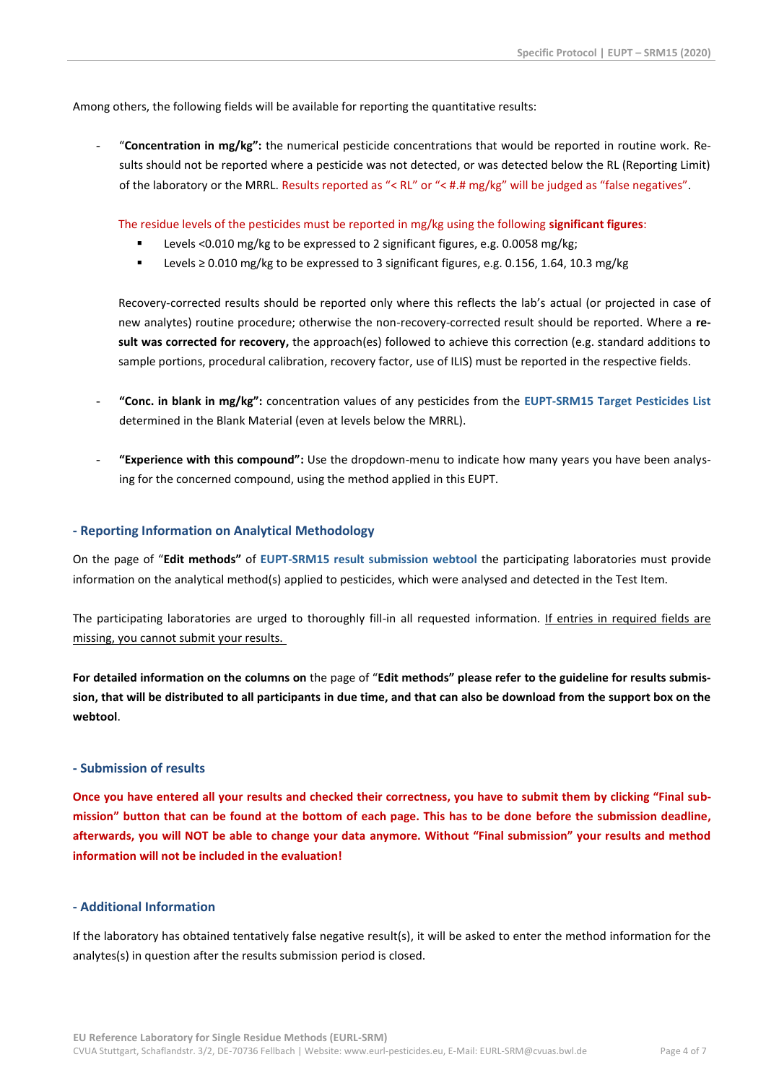Among others, the following fields will be available for reporting the quantitative results:

- "**Concentration in mg/kg":** the numerical pesticide concentrations that would be reported in routine work. Results should not be reported where a pesticide was not detected, or was detected below the RL (Reporting Limit) of the laboratory or the MRRL. Results reported as "< RL" or "< #.# mg/kg" will be judged as "false negatives".

The residue levels of the pesticides must be reported in mg/kg using the following **significant figures**:

- Levels <0.010 mg/kg to be expressed to 2 significant figures, e.g. 0.0058 mg/kg;
- Levels ≥ 0.010 mg/kg to be expressed to 3 significant figures, e.g. 0.156, 1.64, 10.3 mg/kg

Recovery-corrected results should be reported only where this reflects the lab's actual (or projected in case of new analytes) routine procedure; otherwise the non-recovery-corrected result should be reported. Where a **result was corrected for recovery,** the approach(es) followed to achieve this correction (e.g. standard additions to sample portions, procedural calibration, recovery factor, use of ILIS) must be reported in the respective fields.

- **"Conc. in blank in mg/kg":** concentration values of any pesticides from the **EUPT-SRM15 [Target Pesticides List](http://www.eurl-pesticides.eu/library/docs/srm/EUPT-SRM15_TargetPesticideList.pdf)** determined in the Blank Material (even at levels below the MRRL).
- **"Experience with this compound":** Use the dropdown-menu to indicate how many years you have been analysing for the concerned compound, using the method applied in this EUPT.

#### **- Reporting Information on Analytical Methodology**

On the page of "**Edit methods"** of **EUPT-SRM15 [result submission webtool](http://www.eurl.dtu.dk/)** the participating laboratories must provide information on the analytical method(s) applied to pesticides, which were analysed and detected in the Test Item.

The participating laboratories are urged to thoroughly fill-in all requested information. If entries in required fields are missing, you cannot submit your results.

**For detailed information on the columns on** the page of "**Edit methods" please refer to the guideline for results submission, that will be distributed to all participants in due time, and that can also be download from the support box on the webtool**.

#### **- Submission of results**

**Once you have entered all your results and checked their correctness, you have to submit them by clicking "Final submission" button that can be found at the bottom of each page. This has to be done before the submission deadline, afterwards, you will NOT be able to change your data anymore. Without "Final submission" your results and method information will not be included in the evaluation!**

#### **- Additional Information**

If the laboratory has obtained tentatively false negative result(s), it will be asked to enter the method information for the analytes(s) in question after the results submission period is closed.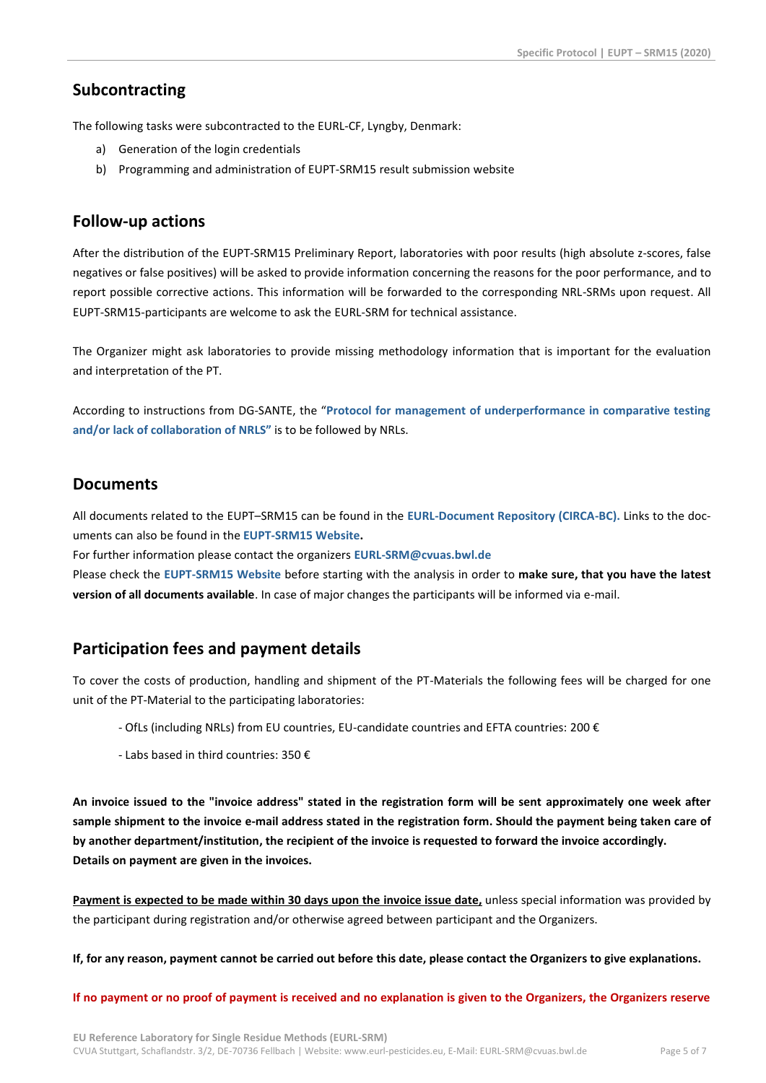### **Subcontracting**

The following tasks were subcontracted to the EURL-CF, Lyngby, Denmark:

- a) Generation of the login credentials
- b) Programming and administration of EUPT-SRM15 result submission website

### **Follow-up actions**

After the distribution of the EUPT-SRM15 Preliminary Report, laboratories with poor results (high absolute z-scores, false negatives or false positives) will be asked to provide information concerning the reasons for the poor performance, and to report possible corrective actions. This information will be forwarded to the corresponding NRL-SRMs upon request. All EUPT-SRM15-participants are welcome to ask the EURL-SRM for technical assistance.

The Organizer might ask laboratories to provide missing methodology information that is important for the evaluation and interpretation of the PT.

According to instructions from DG-SANTE, the "**[Protocol for management of underperformance in comparative testing](http://www.eurl-pesticides.eu/docs/public/tmplt_article.asp?CntID=672&LabID=100&Lang=EN)  [and/or lack of collaboration of](http://www.eurl-pesticides.eu/docs/public/tmplt_article.asp?CntID=672&LabID=100&Lang=EN) NRLS"** is to be followed by NRLs.

### **Documents**

All documents related to the EUPT–SRM15 can be found in the **[EURL-Document Repository \(CIRCA-BC\).](https://circabc.europa.eu/w/browse/2bf8a04a-0137-47cc-bf5e-b4e854c13316)** Links to the documents can also be found in the **[EUPT-SRM15](http://www.eurl-pesticides.eu/docs/public/tmplt_article.asp?LabID=200&CntID=1138&Theme_ID=1&Pdf=False&Lang=EN) Website.**

For further information please contact the organizers **[EURL-SRM@cvuas.bwl.de](mailto:EURL-SRM@cvuas.bwl.de)**

Please check the **[EUPT-SRM15](http://www.eurl-pesticides.eu/docs/public/tmplt_article.asp?LabID=200&CntID=1138&Theme_ID=1&Pdf=False&Lang=EN) Website** before starting with the analysis in order to **make sure, that you have the latest version of all documents available**. In case of major changes the participants will be informed via e-mail.

### **Participation fees and payment details**

To cover the costs of production, handling and shipment of the PT-Materials the following fees will be charged for one unit of the PT-Material to the participating laboratories:

- OfLs (including NRLs) from EU countries, EU-candidate countries and EFTA countries: 200 €
- Labs based in third countries: 350 €

**An invoice issued to the "invoice address" stated in the registration form will be sent approximately one week after sample shipment to the invoice e-mail address stated in the registration form. Should the payment being taken care of by another department/institution, the recipient of the invoice is requested to forward the invoice accordingly. Details on payment are given in the invoices.**

**Payment is expected to be made within 30 days upon the invoice issue date,** unless special information was provided by the participant during registration and/or otherwise agreed between participant and the Organizers.

**If, for any reason, payment cannot be carried out before this date, please contact the Organizers to give explanations.** 

**If no payment or no proof of payment is received and no explanation is given to the Organizers, the Organizers reserve**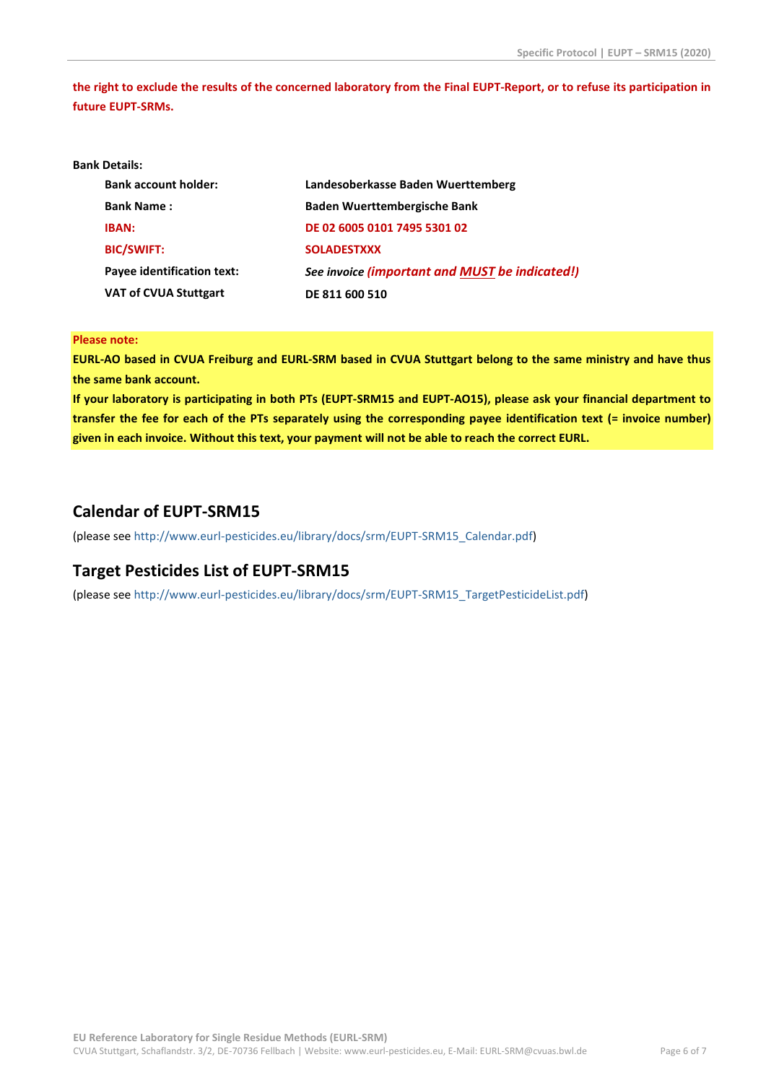**the right to exclude the results of the concerned laboratory from the Final EUPT-Report, or to refuse its participation in future EUPT-SRMs.**

#### **Bank Details:**

| <b>Bank account holder:</b>       | Landesoberkasse Baden Wuerttemberg             |
|-----------------------------------|------------------------------------------------|
| <b>Bank Name:</b>                 | <b>Baden Wuerttembergische Bank</b>            |
| <b>IBAN:</b>                      | DE 02 6005 0101 7495 5301 02                   |
| <b>BIC/SWIFT:</b>                 | <b>SOLADESTXXX</b>                             |
| <b>Payee identification text:</b> | See invoice (important and MUST be indicated!) |
| <b>VAT of CVUA Stuttgart</b>      | DE 811 600 510                                 |

#### **Please note:**

**EURL-AO based in CVUA Freiburg and EURL-SRM based in CVUA Stuttgart belong to the same ministry and have thus the same bank account.**

**If your laboratory is participating in both PTs (EUPT-SRM15 and EUPT-AO15), please ask your financial department to transfer the fee for each of the PTs separately using the corresponding payee identification text (= invoice number) given in each invoice. Without this text, your payment will not be able to reach the correct EURL.**

### **Calendar of EUPT-SRM15**

(please see [http://www.eurl-pesticides.eu/library/docs/srm/EUPT-SRM15\\_Calendar.pdf\)](http://www.eurl-pesticides.eu/library/docs/srm/EUPT-SRM15_Calendar.pdf)

### **Target Pesticides List of EUPT-SRM15**

(please see [http://www.eurl-pesticides.eu/library/docs/srm/EUPT-SRM15\\_TargetPesticideList.pdf\)](http://www.eurl-pesticides.eu/library/docs/srm/EUPT-SRM15_TargetPesticideList.pdf)